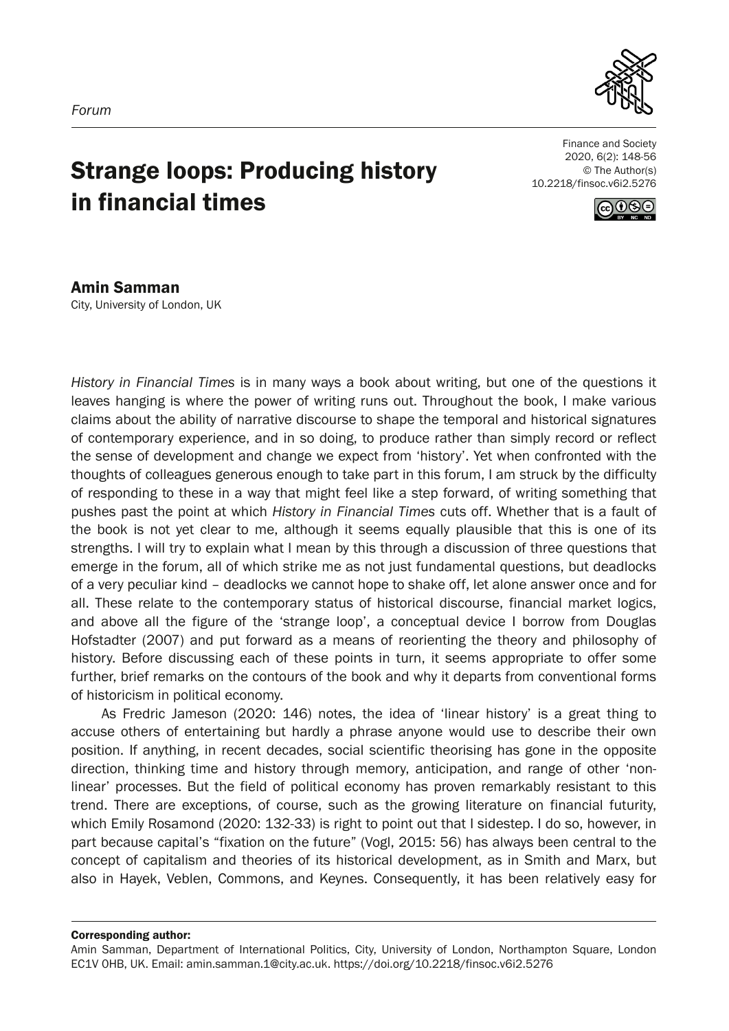

# Strange loops: Producing history in financial times

Finance and Society 2020, 6(2): 148-56 © The Author(s) 10.2218/finsoc.v6i2.5276



Amin Samman City, University of London, UK

*History in Financial Times* is in many ways a book about writing, but one of the questions it leaves hanging is where the power of writing runs out. Throughout the book, I make various claims about the ability of narrative discourse to shape the temporal and historical signatures of contemporary experience, and in so doing, to produce rather than simply record or reflect the sense of development and change we expect from 'history'. Yet when confronted with the thoughts of colleagues generous enough to take part in this forum, I am struck by the difficulty of responding to these in a way that might feel like a step forward, of writing something that pushes past the point at which *History in Financial Times* cuts off. Whether that is a fault of the book is not yet clear to me, although it seems equally plausible that this is one of its strengths. I will try to explain what I mean by this through a discussion of three questions that emerge in the forum, all of which strike me as not just fundamental questions, but deadlocks of a very peculiar kind – deadlocks we cannot hope to shake off, let alone answer once and for all. These relate to the contemporary status of historical discourse, financial market logics, and above all the figure of the 'strange loop', a conceptual device I borrow from Douglas Hofstadter (2007) and put forward as a means of reorienting the theory and philosophy of history. Before discussing each of these points in turn, it seems appropriate to offer some further, brief remarks on the contours of the book and why it departs from conventional forms of historicism in political economy.

As Fredric Jameson (2020: 146) notes, the idea of 'linear history' is a great thing to accuse others of entertaining but hardly a phrase anyone would use to describe their own position. If anything, in recent decades, social scientific theorising has gone in the opposite direction, thinking time and history through memory, anticipation, and range of other 'nonlinear' processes. But the field of political economy has proven remarkably resistant to this trend. There are exceptions, of course, such as the growing literature on financial futurity, which Emily Rosamond (2020: 132-33) is right to point out that I sidestep. I do so, however, in part because capital's "fixation on the future" (Vogl, 2015: 56) has always been central to the concept of capitalism and theories of its historical development, as in Smith and Marx, but also in Hayek, Veblen, Commons, and Keynes. Consequently, it has been relatively easy for

Corresponding author:

Amin Samman, Department of International Politics, City, University of London, Northampton Square, London EC1V 0HB, UK. Email: amin.samman.1@city.ac.uk. https://doi.org/10.2218/finsoc.v6i2.5276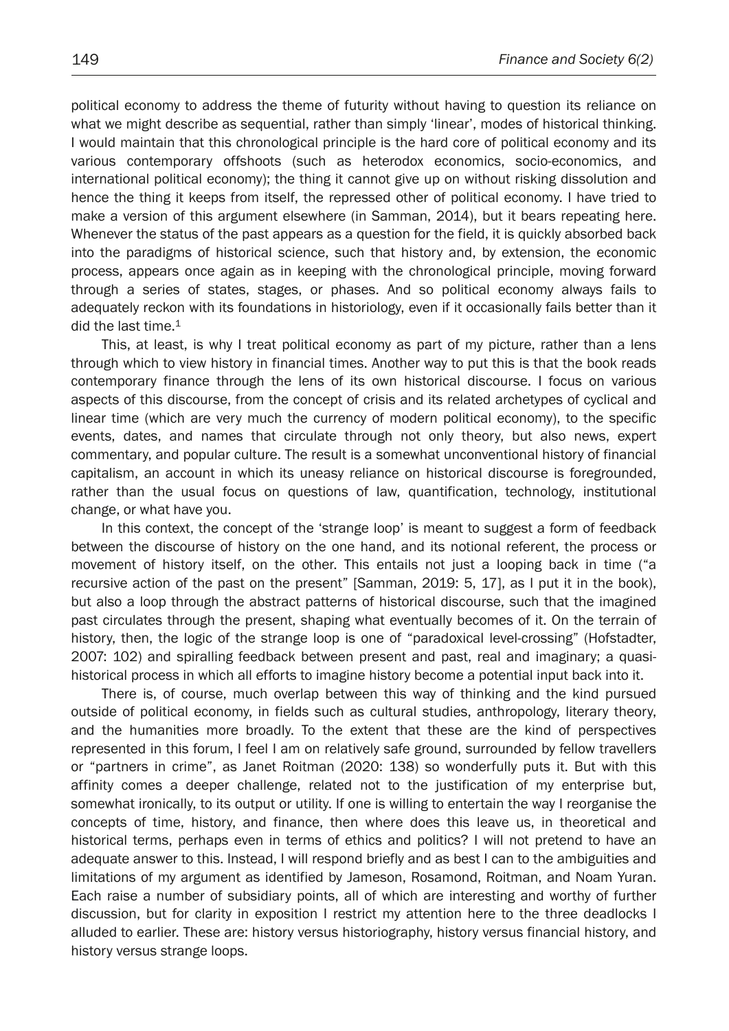political economy to address the theme of futurity without having to question its reliance on what we might describe as sequential, rather than simply 'linear', modes of historical thinking. I would maintain that this chronological principle is the hard core of political economy and its various contemporary offshoots (such as heterodox economics, socio-economics, and international political economy); the thing it cannot give up on without risking dissolution and hence the thing it keeps from itself, the repressed other of political economy. I have tried to make a version of this argument elsewhere (in Samman, 2014), but it bears repeating here. Whenever the status of the past appears as a question for the field, it is quickly absorbed back into the paradigms of historical science, such that history and, by extension, the economic process, appears once again as in keeping with the chronological principle, moving forward through a series of states, stages, or phases. And so political economy always fails to adequately reckon with its foundations in historiology, even if it occasionally fails better than it did the last time. $1$ 

This, at least, is why I treat political economy as part of my picture, rather than a lens through which to view history in financial times. Another way to put this is that the book reads contemporary finance through the lens of its own historical discourse. I focus on various aspects of this discourse, from the concept of crisis and its related archetypes of cyclical and linear time (which are very much the currency of modern political economy), to the specific events, dates, and names that circulate through not only theory, but also news, expert commentary, and popular culture. The result is a somewhat unconventional history of financial capitalism, an account in which its uneasy reliance on historical discourse is foregrounded, rather than the usual focus on questions of law, quantification, technology, institutional change, or what have you.

In this context, the concept of the 'strange loop' is meant to suggest a form of feedback between the discourse of history on the one hand, and its notional referent, the process or movement of history itself, on the other. This entails not just a looping back in time ("a recursive action of the past on the present" [Samman, 2019: 5, 17], as I put it in the book), but also a loop through the abstract patterns of historical discourse, such that the imagined past circulates through the present, shaping what eventually becomes of it. On the terrain of history, then, the logic of the strange loop is one of "paradoxical level-crossing" (Hofstadter, 2007: 102) and spiralling feedback between present and past, real and imaginary; a quasihistorical process in which all efforts to imagine history become a potential input back into it.

There is, of course, much overlap between this way of thinking and the kind pursued outside of political economy, in fields such as cultural studies, anthropology, literary theory, and the humanities more broadly. To the extent that these are the kind of perspectives represented in this forum, I feel I am on relatively safe ground, surrounded by fellow travellers or "partners in crime", as Janet Roitman (2020: 138) so wonderfully puts it. But with this affinity comes a deeper challenge, related not to the justification of my enterprise but, somewhat ironically, to its output or utility. If one is willing to entertain the way I reorganise the concepts of time, history, and finance, then where does this leave us, in theoretical and historical terms, perhaps even in terms of ethics and politics? I will not pretend to have an adequate answer to this. Instead, I will respond briefly and as best I can to the ambiguities and limitations of my argument as identified by Jameson, Rosamond, Roitman, and Noam Yuran. Each raise a number of subsidiary points, all of which are interesting and worthy of further discussion, but for clarity in exposition I restrict my attention here to the three deadlocks I alluded to earlier. These are: history versus historiography, history versus financial history, and history versus strange loops.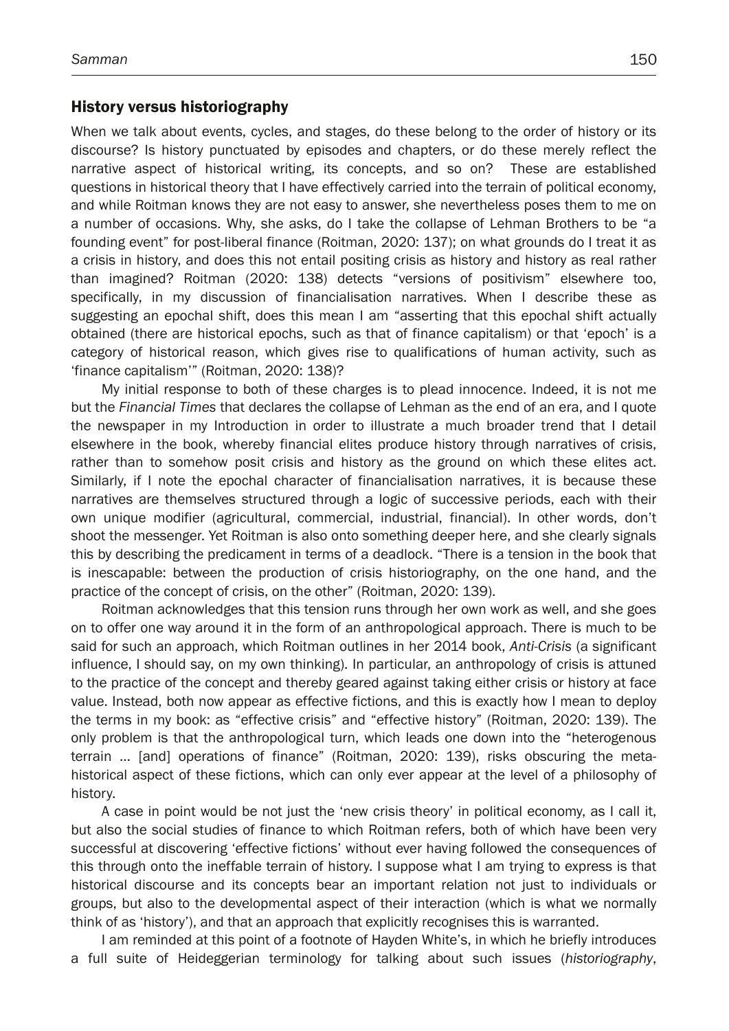## History versus historiography

When we talk about events, cycles, and stages, do these belong to the order of history or its discourse? Is history punctuated by episodes and chapters, or do these merely reflect the narrative aspect of historical writing, its concepts, and so on? These are established questions in historical theory that I have effectively carried into the terrain of political economy, and while Roitman knows they are not easy to answer, she nevertheless poses them to me on a number of occasions. Why, she asks, do I take the collapse of Lehman Brothers to be "a founding event" for post-liberal finance (Roitman, 2020: 137); on what grounds do I treat it as a crisis in history, and does this not entail positing crisis as history and history as real rather than imagined? Roitman (2020: 138) detects "versions of positivism" elsewhere too, specifically, in my discussion of financialisation narratives. When I describe these as suggesting an epochal shift, does this mean I am "asserting that this epochal shift actually obtained (there are historical epochs, such as that of finance capitalism) or that 'epoch' is a category of historical reason, which gives rise to qualifications of human activity, such as 'finance capitalism'" (Roitman, 2020: 138)?

My initial response to both of these charges is to plead innocence. Indeed, it is not me but the *Financial Times* that declares the collapse of Lehman as the end of an era, and I quote the newspaper in my Introduction in order to illustrate a much broader trend that I detail elsewhere in the book, whereby financial elites produce history through narratives of crisis, rather than to somehow posit crisis and history as the ground on which these elites act. Similarly, if I note the epochal character of financialisation narratives, it is because these narratives are themselves structured through a logic of successive periods, each with their own unique modifier (agricultural, commercial, industrial, financial). In other words, don't shoot the messenger. Yet Roitman is also onto something deeper here, and she clearly signals this by describing the predicament in terms of a deadlock. "There is a tension in the book that is inescapable: between the production of crisis historiography, on the one hand, and the practice of the concept of crisis, on the other" (Roitman, 2020: 139).

Roitman acknowledges that this tension runs through her own work as well, and she goes on to offer one way around it in the form of an anthropological approach. There is much to be said for such an approach, which Roitman outlines in her 2014 book, *Anti-Crisis* (a significant influence, I should say, on my own thinking). In particular, an anthropology of crisis is attuned to the practice of the concept and thereby geared against taking either crisis or history at face value. Instead, both now appear as effective fictions, and this is exactly how I mean to deploy the terms in my book: as "effective crisis" and "effective history" (Roitman, 2020: 139). The only problem is that the anthropological turn, which leads one down into the "heterogenous terrain … [and] operations of finance" (Roitman, 2020: 139), risks obscuring the metahistorical aspect of these fictions, which can only ever appear at the level of a philosophy of history.

A case in point would be not just the 'new crisis theory' in political economy, as I call it, but also the social studies of finance to which Roitman refers, both of which have been very successful at discovering 'effective fictions' without ever having followed the consequences of this through onto the ineffable terrain of history. I suppose what I am trying to express is that historical discourse and its concepts bear an important relation not just to individuals or groups, but also to the developmental aspect of their interaction (which is what we normally think of as 'history'), and that an approach that explicitly recognises this is warranted.

I am reminded at this point of a footnote of Hayden White's, in which he briefly introduces a full suite of Heideggerian terminology for talking about such issues (*historiography*,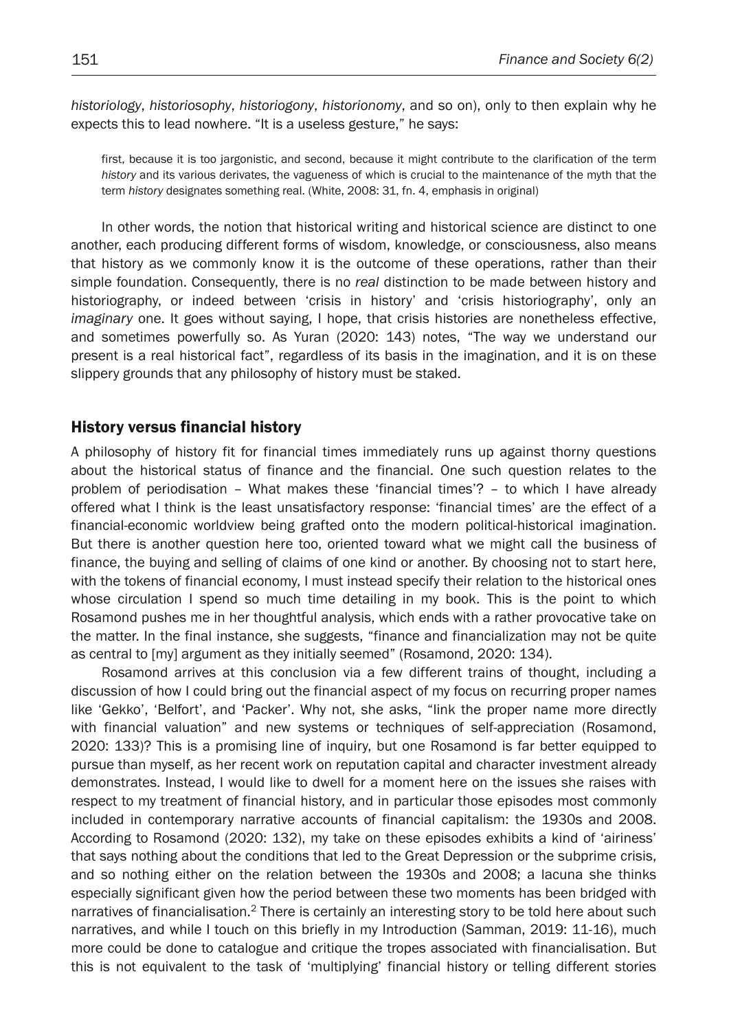*historiology*, *historiosophy*, *historiogony*, *historionomy*, and so on), only to then explain why he expects this to lead nowhere. "It is a useless gesture," he says:

first, because it is too jargonistic, and second, because it might contribute to the clarification of the term *history* and its various derivates, the vagueness of which is crucial to the maintenance of the myth that the term *history* designates something real. (White, 2008: 31, fn. 4, emphasis in original)

In other words, the notion that historical writing and historical science are distinct to one another, each producing different forms of wisdom, knowledge, or consciousness, also means that history as we commonly know it is the outcome of these operations, rather than their simple foundation. Consequently, there is no *real* distinction to be made between history and historiography, or indeed between 'crisis in history' and 'crisis historiography', only an *imaginary* one. It goes without saying, I hope, that crisis histories are nonetheless effective, and sometimes powerfully so. As Yuran (2020: 143) notes, "The way we understand our present is a real historical fact", regardless of its basis in the imagination, and it is on these slippery grounds that any philosophy of history must be staked.

### History versus financial history

A philosophy of history fit for financial times immediately runs up against thorny questions about the historical status of finance and the financial. One such question relates to the problem of periodisation – What makes these 'financial times'? – to which I have already offered what I think is the least unsatisfactory response: 'financial times' are the effect of a financial-economic worldview being grafted onto the modern political-historical imagination. But there is another question here too, oriented toward what we might call the business of finance, the buying and selling of claims of one kind or another. By choosing not to start here, with the tokens of financial economy, I must instead specify their relation to the historical ones whose circulation I spend so much time detailing in my book. This is the point to which Rosamond pushes me in her thoughtful analysis, which ends with a rather provocative take on the matter. In the final instance, she suggests, "finance and financialization may not be quite as central to [my] argument as they initially seemed" (Rosamond, 2020: 134).

Rosamond arrives at this conclusion via a few different trains of thought, including a discussion of how I could bring out the financial aspect of my focus on recurring proper names like 'Gekko', 'Belfort', and 'Packer'. Why not, she asks, "link the proper name more directly with financial valuation" and new systems or techniques of self-appreciation (Rosamond, 2020: 133)? This is a promising line of inquiry, but one Rosamond is far better equipped to pursue than myself, as her recent work on reputation capital and character investment already demonstrates. Instead, I would like to dwell for a moment here on the issues she raises with respect to my treatment of financial history, and in particular those episodes most commonly included in contemporary narrative accounts of financial capitalism: the 1930s and 2008. According to Rosamond (2020: 132), my take on these episodes exhibits a kind of 'airiness' that says nothing about the conditions that led to the Great Depression or the subprime crisis, and so nothing either on the relation between the 1930s and 2008; a lacuna she thinks especially significant given how the period between these two moments has been bridged with narratives of financialisation.<sup>2</sup> There is certainly an interesting story to be told here about such narratives, and while I touch on this briefly in my Introduction (Samman, 2019: 11-16), much more could be done to catalogue and critique the tropes associated with financialisation. But this is not equivalent to the task of 'multiplying' financial history or telling different stories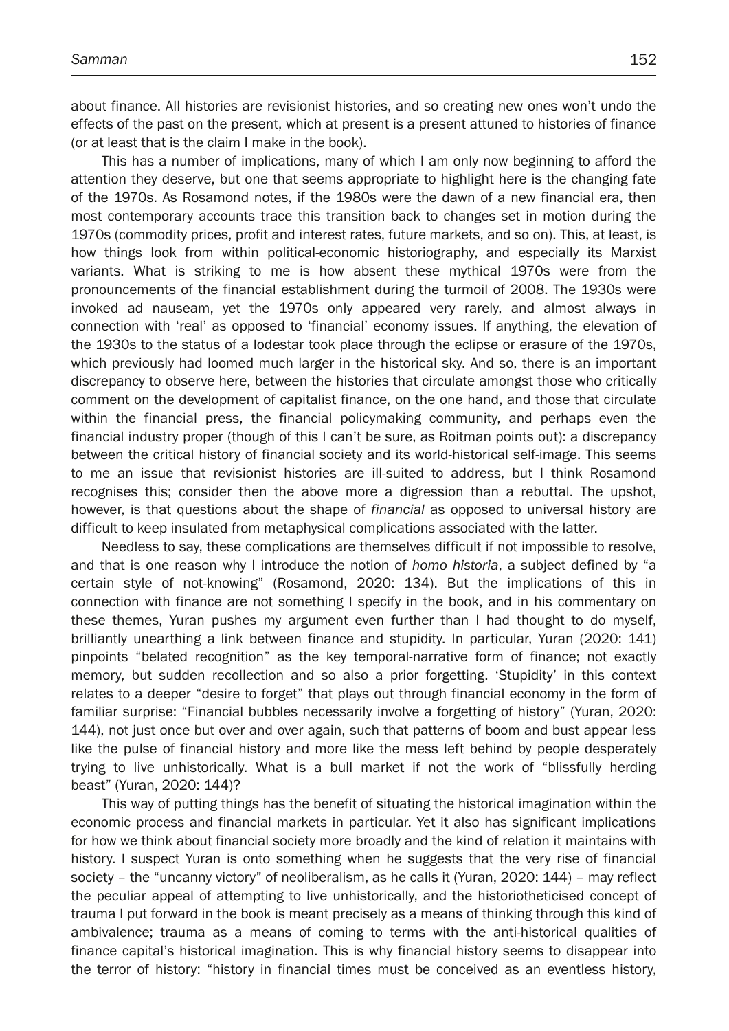about finance. All histories are revisionist histories, and so creating new ones won't undo the effects of the past on the present, which at present is a present attuned to histories of finance (or at least that is the claim I make in the book).

This has a number of implications, many of which I am only now beginning to afford the attention they deserve, but one that seems appropriate to highlight here is the changing fate of the 1970s. As Rosamond notes, if the 1980s were the dawn of a new financial era, then most contemporary accounts trace this transition back to changes set in motion during the 1970s (commodity prices, profit and interest rates, future markets, and so on). This, at least, is how things look from within political-economic historiography, and especially its Marxist variants. What is striking to me is how absent these mythical 1970s were from the pronouncements of the financial establishment during the turmoil of 2008. The 1930s were invoked ad nauseam, yet the 1970s only appeared very rarely, and almost always in connection with 'real' as opposed to 'financial' economy issues. If anything, the elevation of the 1930s to the status of a lodestar took place through the eclipse or erasure of the 1970s, which previously had loomed much larger in the historical sky. And so, there is an important discrepancy to observe here, between the histories that circulate amongst those who critically comment on the development of capitalist finance, on the one hand, and those that circulate within the financial press, the financial policymaking community, and perhaps even the financial industry proper (though of this I can't be sure, as Roitman points out): a discrepancy between the critical history of financial society and its world-historical self-image. This seems to me an issue that revisionist histories are ill-suited to address, but I think Rosamond recognises this; consider then the above more a digression than a rebuttal. The upshot, however, is that questions about the shape of *financial* as opposed to universal history are difficult to keep insulated from metaphysical complications associated with the latter.

Needless to say, these complications are themselves difficult if not impossible to resolve, and that is one reason why I introduce the notion of *homo historia*, a subject defined by "a certain style of not-knowing" (Rosamond, 2020: 134). But the implications of this in connection with finance are not something I specify in the book, and in his commentary on these themes, Yuran pushes my argument even further than I had thought to do myself, brilliantly unearthing a link between finance and stupidity. In particular, Yuran (2020: 141) pinpoints "belated recognition" as the key temporal-narrative form of finance; not exactly memory, but sudden recollection and so also a prior forgetting. 'Stupidity' in this context relates to a deeper "desire to forget" that plays out through financial economy in the form of familiar surprise: "Financial bubbles necessarily involve a forgetting of history" (Yuran, 2020: 144), not just once but over and over again, such that patterns of boom and bust appear less like the pulse of financial history and more like the mess left behind by people desperately trying to live unhistorically. What is a bull market if not the work of "blissfully herding beast" (Yuran, 2020: 144)?

This way of putting things has the benefit of situating the historical imagination within the economic process and financial markets in particular. Yet it also has significant implications for how we think about financial society more broadly and the kind of relation it maintains with history. I suspect Yuran is onto something when he suggests that the very rise of financial society – the "uncanny victory" of neoliberalism, as he calls it (Yuran, 2020: 144) – may reflect the peculiar appeal of attempting to live unhistorically, and the historiotheticised concept of trauma I put forward in the book is meant precisely as a means of thinking through this kind of ambivalence; trauma as a means of coming to terms with the anti-historical qualities of finance capital's historical imagination. This is why financial history seems to disappear into the terror of history: "history in financial times must be conceived as an eventless history,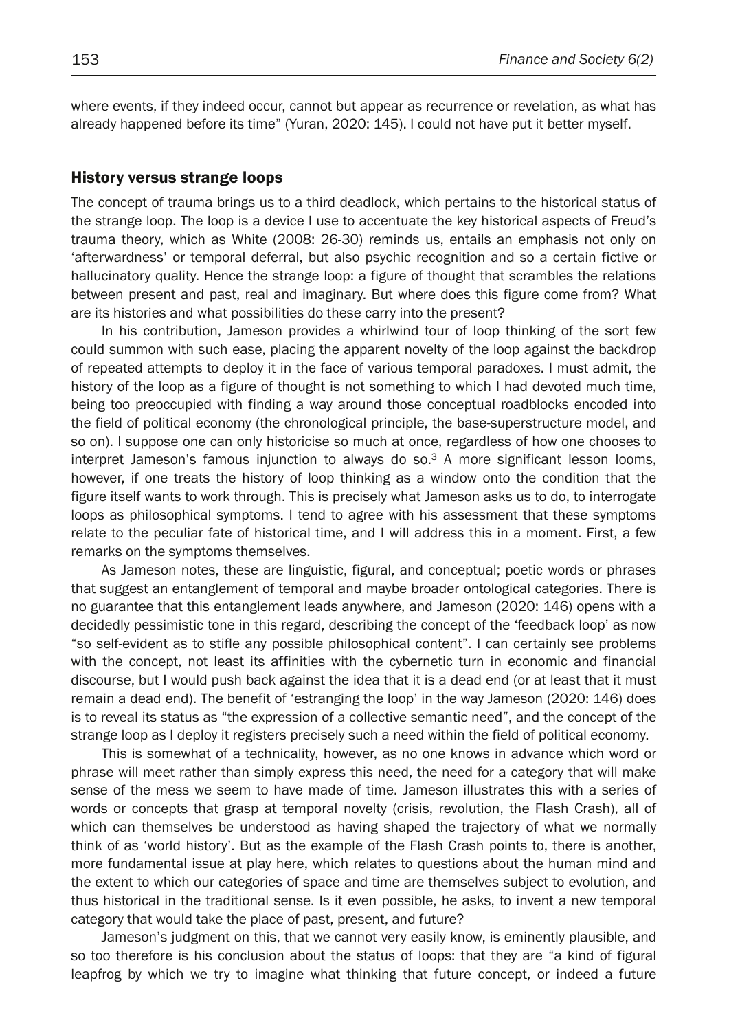where events, if they indeed occur, cannot but appear as recurrence or revelation, as what has already happened before its time" (Yuran, 2020: 145). I could not have put it better myself.

#### History versus strange loops

The concept of trauma brings us to a third deadlock, which pertains to the historical status of the strange loop. The loop is a device I use to accentuate the key historical aspects of Freud's trauma theory, which as White (2008: 26-30) reminds us, entails an emphasis not only on 'afterwardness' or temporal deferral, but also psychic recognition and so a certain fictive or hallucinatory quality. Hence the strange loop: a figure of thought that scrambles the relations between present and past, real and imaginary. But where does this figure come from? What are its histories and what possibilities do these carry into the present?

In his contribution, Jameson provides a whirlwind tour of loop thinking of the sort few could summon with such ease, placing the apparent novelty of the loop against the backdrop of repeated attempts to deploy it in the face of various temporal paradoxes. I must admit, the history of the loop as a figure of thought is not something to which I had devoted much time, being too preoccupied with finding a way around those conceptual roadblocks encoded into the field of political economy (the chronological principle, the base-superstructure model, and so on). I suppose one can only historicise so much at once, regardless of how one chooses to interpret Jameson's famous injunction to always do so.<sup>3</sup> A more significant lesson looms, however, if one treats the history of loop thinking as a window onto the condition that the figure itself wants to work through. This is precisely what Jameson asks us to do, to interrogate loops as philosophical symptoms. I tend to agree with his assessment that these symptoms relate to the peculiar fate of historical time, and I will address this in a moment. First, a few remarks on the symptoms themselves.

As Jameson notes, these are linguistic, figural, and conceptual; poetic words or phrases that suggest an entanglement of temporal and maybe broader ontological categories. There is no guarantee that this entanglement leads anywhere, and Jameson (2020: 146) opens with a decidedly pessimistic tone in this regard, describing the concept of the 'feedback loop' as now "so self-evident as to stifle any possible philosophical content". I can certainly see problems with the concept, not least its affinities with the cybernetic turn in economic and financial discourse, but I would push back against the idea that it is a dead end (or at least that it must remain a dead end). The benefit of 'estranging the loop' in the way Jameson (2020: 146) does is to reveal its status as "the expression of a collective semantic need", and the concept of the strange loop as I deploy it registers precisely such a need within the field of political economy.

This is somewhat of a technicality, however, as no one knows in advance which word or phrase will meet rather than simply express this need, the need for a category that will make sense of the mess we seem to have made of time. Jameson illustrates this with a series of words or concepts that grasp at temporal novelty (crisis, revolution, the Flash Crash), all of which can themselves be understood as having shaped the trajectory of what we normally think of as 'world history'. But as the example of the Flash Crash points to, there is another, more fundamental issue at play here, which relates to questions about the human mind and the extent to which our categories of space and time are themselves subject to evolution, and thus historical in the traditional sense. Is it even possible, he asks, to invent a new temporal category that would take the place of past, present, and future?

Jameson's judgment on this, that we cannot very easily know, is eminently plausible, and so too therefore is his conclusion about the status of loops: that they are "a kind of figural leapfrog by which we try to imagine what thinking that future concept, or indeed a future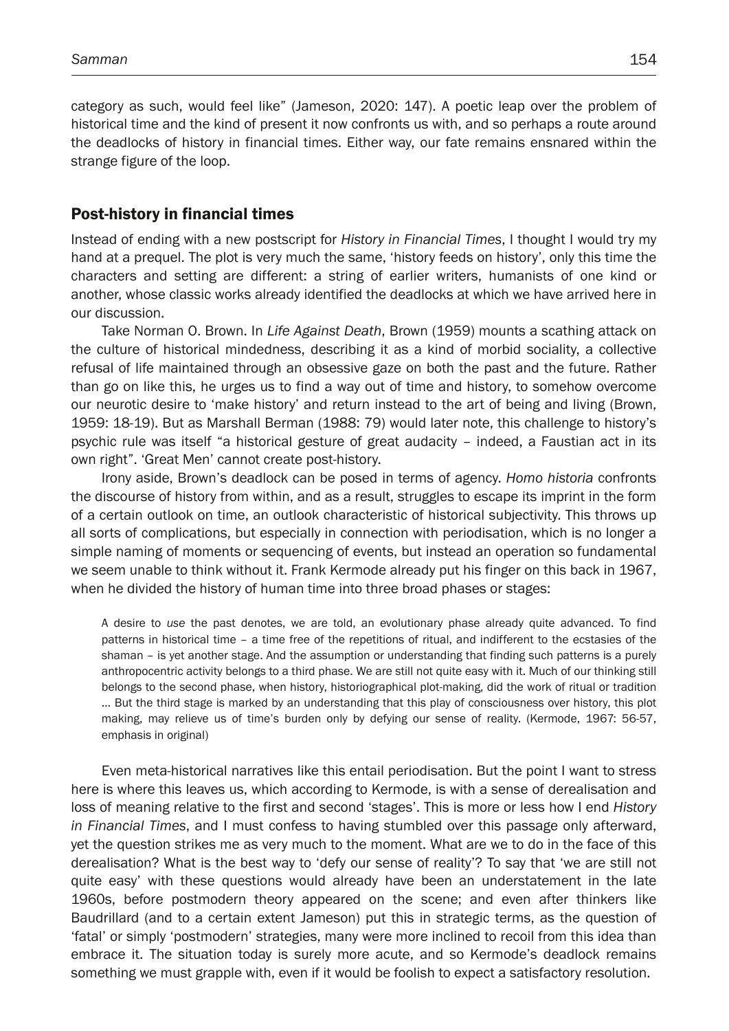category as such, would feel like" (Jameson, 2020: 147). A poetic leap over the problem of historical time and the kind of present it now confronts us with, and so perhaps a route around the deadlocks of history in financial times. Either way, our fate remains ensnared within the strange figure of the loop.

## Post-history in financial times

Instead of ending with a new postscript for *History in Financial Times*, I thought I would try my hand at a prequel. The plot is very much the same, 'history feeds on history', only this time the characters and setting are different: a string of earlier writers, humanists of one kind or another, whose classic works already identified the deadlocks at which we have arrived here in our discussion.

Take Norman O. Brown. In *Life Against Death*, Brown (1959) mounts a scathing attack on the culture of historical mindedness, describing it as a kind of morbid sociality, a collective refusal of life maintained through an obsessive gaze on both the past and the future. Rather than go on like this, he urges us to find a way out of time and history, to somehow overcome our neurotic desire to 'make history' and return instead to the art of being and living (Brown, 1959: 18-19). But as Marshall Berman (1988: 79) would later note, this challenge to history's psychic rule was itself "a historical gesture of great audacity – indeed, a Faustian act in its own right". 'Great Men' cannot create post-history.

Irony aside, Brown's deadlock can be posed in terms of agency. *Homo historia* confronts the discourse of history from within, and as a result, struggles to escape its imprint in the form of a certain outlook on time, an outlook characteristic of historical subjectivity. This throws up all sorts of complications, but especially in connection with periodisation, which is no longer a simple naming of moments or sequencing of events, but instead an operation so fundamental we seem unable to think without it. Frank Kermode already put his finger on this back in 1967, when he divided the history of human time into three broad phases or stages:

A desire to *use* the past denotes, we are told, an evolutionary phase already quite advanced. To find patterns in historical time – a time free of the repetitions of ritual, and indifferent to the ecstasies of the shaman – is yet another stage. And the assumption or understanding that finding such patterns is a purely anthropocentric activity belongs to a third phase. We are still not quite easy with it. Much of our thinking still belongs to the second phase, when history, historiographical plot-making, did the work of ritual or tradition … But the third stage is marked by an understanding that this play of consciousness over history, this plot making, may relieve us of time's burden only by defying our sense of reality. (Kermode, 1967: 56-57, emphasis in original)

Even meta-historical narratives like this entail periodisation. But the point I want to stress here is where this leaves us, which according to Kermode, is with a sense of derealisation and loss of meaning relative to the first and second 'stages'. This is more or less how I end *History in Financial Times*, and I must confess to having stumbled over this passage only afterward, yet the question strikes me as very much to the moment. What are we to do in the face of this derealisation? What is the best way to 'defy our sense of reality'? To say that 'we are still not quite easy' with these questions would already have been an understatement in the late 1960s, before postmodern theory appeared on the scene; and even after thinkers like Baudrillard (and to a certain extent Jameson) put this in strategic terms, as the question of 'fatal' or simply 'postmodern' strategies, many were more inclined to recoil from this idea than embrace it. The situation today is surely more acute, and so Kermode's deadlock remains something we must grapple with, even if it would be foolish to expect a satisfactory resolution.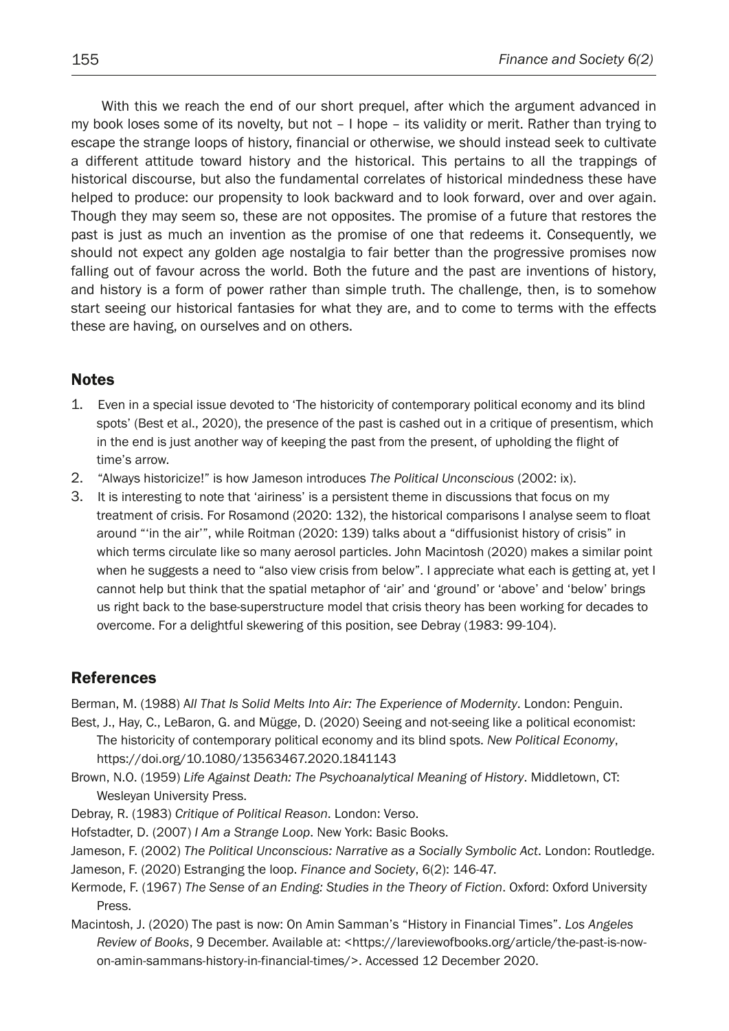With this we reach the end of our short prequel, after which the argument advanced in my book loses some of its novelty, but not – I hope – its validity or merit. Rather than trying to escape the strange loops of history, financial or otherwise, we should instead seek to cultivate a different attitude toward history and the historical. This pertains to all the trappings of historical discourse, but also the fundamental correlates of historical mindedness these have helped to produce: our propensity to look backward and to look forward, over and over again. Though they may seem so, these are not opposites. The promise of a future that restores the past is just as much an invention as the promise of one that redeems it. Consequently, we should not expect any golden age nostalgia to fair better than the progressive promises now falling out of favour across the world. Both the future and the past are inventions of history, and history is a form of power rather than simple truth. The challenge, then, is to somehow start seeing our historical fantasies for what they are, and to come to terms with the effects these are having, on ourselves and on others.

## **Notes**

- 1. Even in a special issue devoted to 'The historicity of contemporary political economy and its blind spots' (Best et al., 2020), the presence of the past is cashed out in a critique of presentism, which in the end is just another way of keeping the past from the present, of upholding the flight of time's arrow.
- 2. "Always historicize!" is how Jameson introduces *The Political Unconscious* (2002: ix).
- 3. It is interesting to note that 'airiness' is a persistent theme in discussions that focus on my treatment of crisis. For Rosamond (2020: 132), the historical comparisons I analyse seem to float around "'in the air'", while Roitman (2020: 139) talks about a "diffusionist history of crisis" in which terms circulate like so many aerosol particles. John Macintosh (2020) makes a similar point when he suggests a need to "also view crisis from below". I appreciate what each is getting at, yet I cannot help but think that the spatial metaphor of 'air' and 'ground' or 'above' and 'below' brings us right back to the base-superstructure model that crisis theory has been working for decades to overcome. For a delightful skewering of this position, see Debray (1983: 99-104).

# References

Berman, M. (1988) A*ll That Is Solid Melts Into Air: The Experience of Modernity*. London: Penguin.

- Best, J., Hay, C., LeBaron, G. and Mügge, D. (2020) Seeing and not-seeing like a political economist: The historicity of contemporary political economy and its blind spots. *New Political Economy*, https://doi.org/10.1080/13563467.2020.1841143
- Brown, N.O. (1959) *Life Against Death: The Psychoanalytical Meaning of History*. Middletown, CT: Wesleyan University Press.
- Debray, R. (1983) *Critique of Political Reason*. London: Verso.
- Hofstadter, D. (2007) *I Am a Strange Loop*. New York: Basic Books.

Jameson, F. (2002) *The Political Unconscious: Narrative as a Socially Symbolic Act*. London: Routledge. Jameson, F. (2020) Estranging the loop. *Finance and Society*, 6(2): 146-47.

- Kermode, F. (1967) *The Sense of an Ending: Studies in the Theory of Fiction*. Oxford: Oxford University Press.
- Macintosh, J. (2020) The past is now: On Amin Samman's "History in Financial Times". *Los Angeles Review of Books*, 9 December. Available at: <https://lareviewofbooks.org/article/the-past-is-nowon-amin-sammans-history-in-financial-times/>. Accessed 12 December 2020.